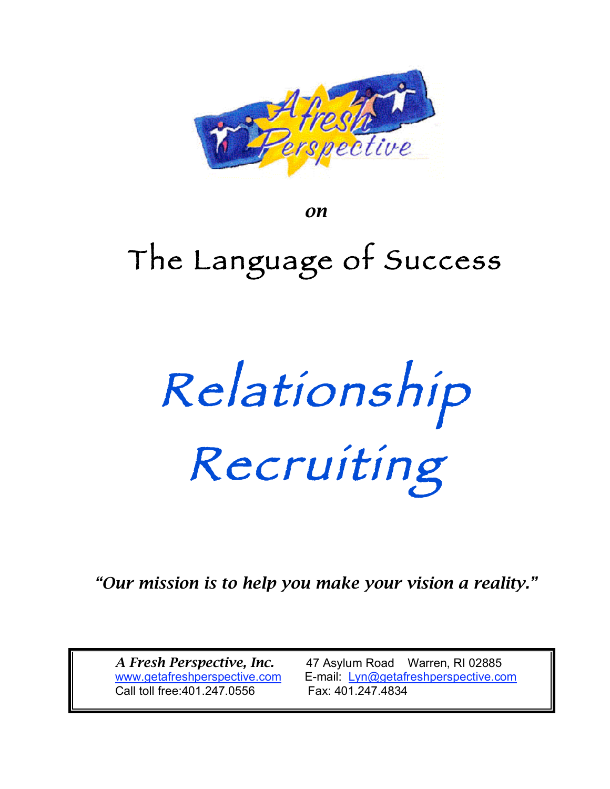

*on*

# The Language of Success

Relationship Recruiting

*"Our mission is to help you make your vision a reality."*

Call toll free:401.247.0556 Fax: 401.247.4834

*A Fresh Perspective, Inc.* 47 Asylum Road Warren, RI 02885 www.getafreshperspective.com E-mail: Lyn@getafreshperspective.com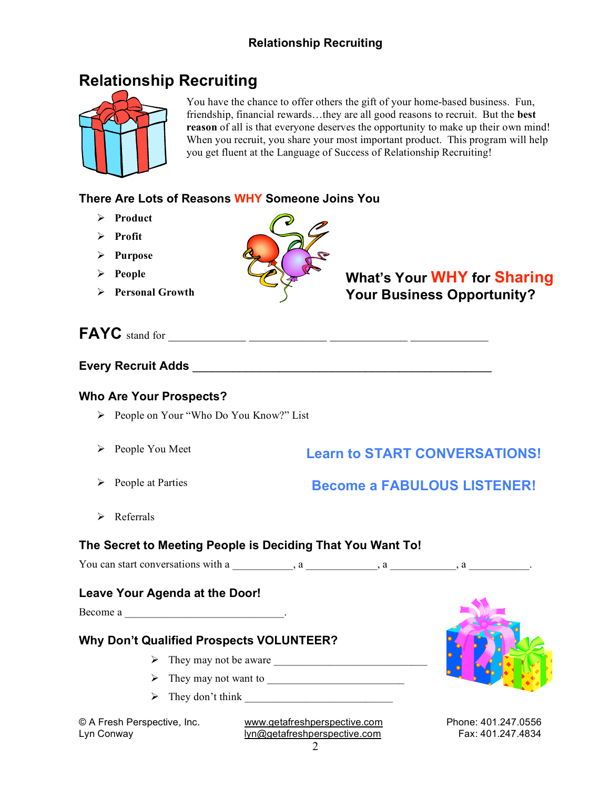

You have the chance to offer others the gift of your home-based business. Fun, friendship, financial rewards…they are all good reasons to recruit. But the **best reason** of all is that everyone deserves the opportunity to make up their own mind! When you recruit, you share your most important product. This program will help you get fluent at the Language of Success of Relationship Recruiting!

#### **There Are Lots of Reasons WHY Someone Joins You**

- **Product**
- **Profit**
- **Purpose**
- **People**
- **Personal Growth**



# **What's Your WHY for Sharing Your Business Opportunity?**

# **FAYC** stand for \_\_\_\_\_\_\_\_\_\_\_\_\_ \_\_\_\_\_\_\_\_\_\_\_\_\_ \_\_\_\_\_\_\_\_\_\_\_\_\_ \_\_\_\_\_\_\_\_\_\_\_\_\_

#### **Every Recruit Adds Every Recruit** Adds **and a set of the set of the set of the set of the set of the set of the set of the set of the set of the set of the set of the set of the set of the set of the set of the set of**

#### **Who Are Your Prospects?**

- People on Your "Who Do You Know?" List
- $\triangleright$  People You Meet

# **Learn to START CONVERSATIONS!**

 $\triangleright$  People at Parties

# **Become a FABULOUS LISTENER!**

 $\triangleright$  Referrals

#### **The Secret to Meeting People is Deciding That You Want To!**

You can start conversations with a  $\qquad \qquad$ , a  $\qquad \qquad$ , a  $\qquad \qquad$ , a

#### **Leave Your Agenda at the Door!**

Become a \_\_\_\_\_\_\_\_\_\_\_\_\_\_\_\_\_\_\_\_\_\_\_\_\_\_\_\_\_\_\_\_\_\_.

#### **Why Don't Qualified Prospects VOLUNTEER?**

- $\triangleright$  They may not be aware
- They may not want to \_\_\_\_\_\_\_\_\_\_\_\_\_\_\_\_\_\_\_\_\_\_\_\_\_
- $\triangleright$  They don't think

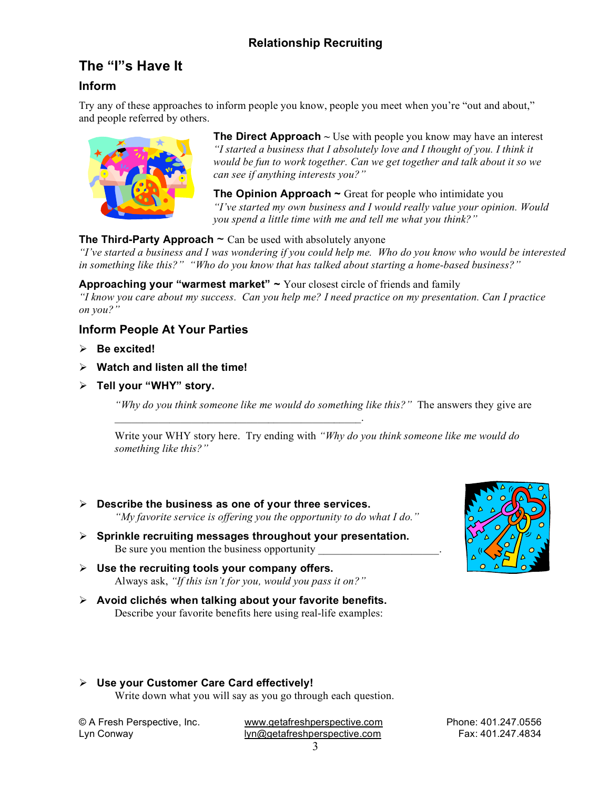# **The "I"s Have It**

#### **Inform**

Try any of these approaches to inform people you know, people you meet when you're "out and about," and people referred by others.



**The Direct Approach**  $\sim$  Use with people you know may have an interest *"I started a business that I absolutely love and I thought of you. I think it would be fun to work together. Can we get together and talk about it so we can see if anything interests you?"*

**The Opinion Approach ~** Great for people who intimidate you *"I've started my own business and I would really value your opinion. Would you spend a little time with me and tell me what you think?"*

#### **The Third-Party Approach**  $\sim$  Can be used with absolutely anyone

"I've started a business and I was wondering if you could help me. Who do you know who would be interested *in something like this?" "Who do you know that has talked about starting a home-based business?"*

#### **Approaching your "warmest market" ~** Your closest circle of friends and family

*"I know you care about my success. Can you help me? I need practice on my presentation. Can I practice on you?"*

#### **Inform People At Your Parties**

- **Be excited!**
- **Watch and listen all the time!**
- **Tell your "WHY" story.**

*"Why do you think someone like me would do something like this?"* The answers they give are

Write your WHY story here. Try ending with *"Why do you think someone like me would do something like this?"*

 **Describe the business as one of your three services.** *"My favorite service is offering you the opportunity to do what I do."*

 $\mathcal{L}_\text{max} = \mathcal{L}_\text{max} = \mathcal{L}_\text{max} = \mathcal{L}_\text{max} = \mathcal{L}_\text{max} = \mathcal{L}_\text{max} = \mathcal{L}_\text{max}$ 

- **Sprinkle recruiting messages throughout your presentation.** Be sure you mention the business opportunity
- **Use the recruiting tools your company offers.** Always ask, *"If this isn't for you, would you pass it on?"*
- **Avoid clichés when talking about your favorite benefits.** Describe your favorite benefits here using real-life examples:



#### **Use your Customer Care Card effectively!**

Write down what you will say as you go through each question.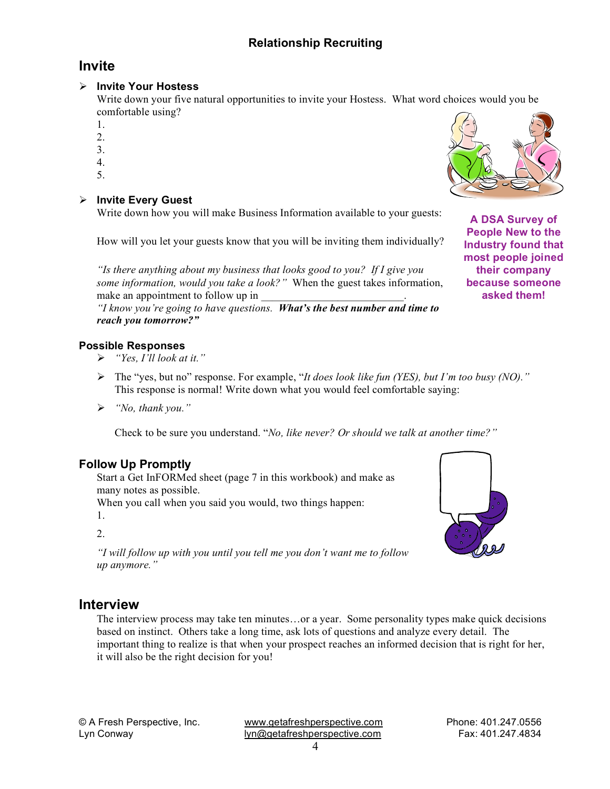# **Invite**

#### **Invite Your Hostess**

Write down your five natural opportunities to invite your Hostess. What word choices would you be comfortable using?

- 1.
- 2.
- 3.
- 4.
- 5.

#### **Invite Every Guest**

Write down how you will make Business Information available to your guests:

How will you let your guests know that you will be inviting them individually?

*"Is there anything about my business that looks good to you? If I give you some information, would you take a look?"* When the guest takes information, make an appointment to follow up in

*"I know you're going to have questions. What's the best number and time to reach you tomorrow?"*

#### **Possible Responses**

- *"Yes, I'll look at it."*
- The "yes, but no" response. For example, "*It does look like fun (YES), but I'm too busy (NO)."* This response is normal! Write down what you would feel comfortable saying:
- *"No, thank you."*

Check to be sure you understand. "*No, like never? Or should we talk at another time?"*

#### **Follow Up Promptly**

Start a Get InFORMed sheet (page 7 in this workbook) and make as many notes as possible.

When you call when you said you would, two things happen:

1.

#### $2<sup>1</sup>$

*"I will follow up with you until you tell me you don't want me to follow up anymore."*

# **Interview**

The interview process may take ten minutes…or a year. Some personality types make quick decisions based on instinct. Others take a long time, ask lots of questions and analyze every detail. The important thing to realize is that when your prospect reaches an informed decision that is right for her, it will also be the right decision for you!

© A Fresh Perspective, Inc. www.getafreshperspective.com Phone: 401.247.0556 Lyn Conway **contract as a set of the United States** Lyn Conway **Fax: 401.247.4834** 



**A DSA Survey of People New to the Industry found that most people joined their company because someone asked them!**

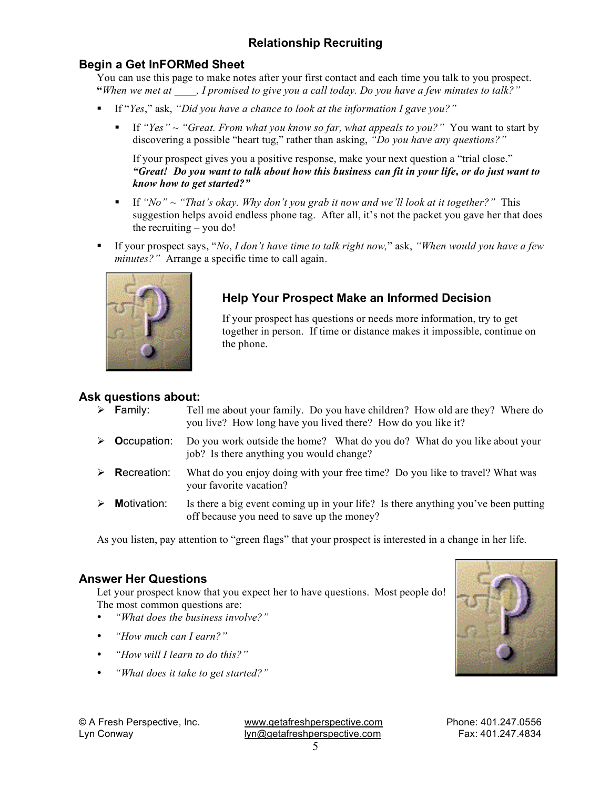#### **Begin a Get InFORMed Sheet**

You can use this page to make notes after your first contact and each time you talk to you prospect. **"***When we met at \_\_\_\_, I promised to give you a call today. Do you have a few minutes to talk?"*

- If "*Yes*," ask, *"Did you have a chance to look at the information I gave you?"*
	- If *"Yes"* ~ *"Great. From what you know so far, what appeals to you?"* You want to start by discovering a possible "heart tug," rather than asking, *"Do you have any questions?"*

If your prospect gives you a positive response, make your next question a "trial close." *"Great! Do you want to talk about how this business can fit in your life, or do just want to know how to get started?"*

- If *"No"* ~ *"That's okay. Why don't you grab it now and we'll look at it together?"* This suggestion helps avoid endless phone tag. After all, it's not the packet you gave her that does the recruiting – you do!
- If your prospect says, "*No*, *I don't have time to talk right now,*" ask, *"When would you have a few minutes?"* Arrange a specific time to call again.



#### **Help Your Prospect Make an Informed Decision**

If your prospect has questions or needs more information, try to get together in person. If time or distance makes it impossible, continue on the phone.

#### **Ask questions about:**

| $\triangleright$ <b>Family:</b> | Tell me about your family. Do you have children? How old are they? Where do<br>you live? How long have you lived there? How do you like it? |
|---------------------------------|---------------------------------------------------------------------------------------------------------------------------------------------|
| $\triangleright$ Occupation:    | Do you work outside the home? What do you do? What do you like about your<br>job? Is there anything you would change?                       |
| $\triangleright$ Recreation:    | What do you enjoy doing with your free time? Do you like to travel? What was<br>your favorite vacation?                                     |
| $\triangleright$ Motivation:    | Is there a big event coming up in your life? Is there anything you've been putting<br>off because you need to save up the money?            |

As you listen, pay attention to "green flags" that your prospect is interested in a change in her life.

#### **Answer Her Questions**

Let your prospect know that you expect her to have questions. Most people do! The most common questions are:

- *"What does the business involve?"*
- *"How much can I earn?"*
- *"How will I learn to do this?"*
- *"What does it take to get started?"*

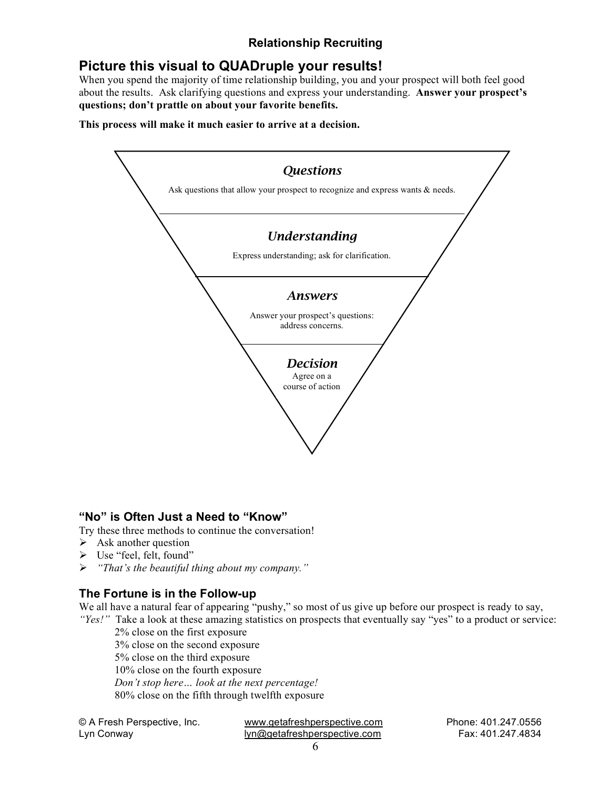# **Picture this visual to QUADruple your results!**

When you spend the majority of time relationship building, you and your prospect will both feel good about the results. Ask clarifying questions and express your understanding. **Answer your prospect's questions; don't prattle on about your favorite benefits.**

**This process will make it much easier to arrive at a decision.**



#### **"No" is Often Just a Need to "Know"**

Try these three methods to continue the conversation!

- $\triangleright$  Ask another question
- Use "feel, felt, found"
- *"That's the beautiful thing about my company."*

#### **The Fortune is in the Follow-up**

We all have a natural fear of appearing "pushy," so most of us give up before our prospect is ready to say, *"Yes!"* Take a look at these amazing statistics on prospects that eventually say "yes" to a product or service:

2% close on the first exposure 3% close on the second exposure 5% close on the third exposure 10% close on the fourth exposure *Don't stop here… look at the next percentage!* 80% close on the fifth through twelfth exposure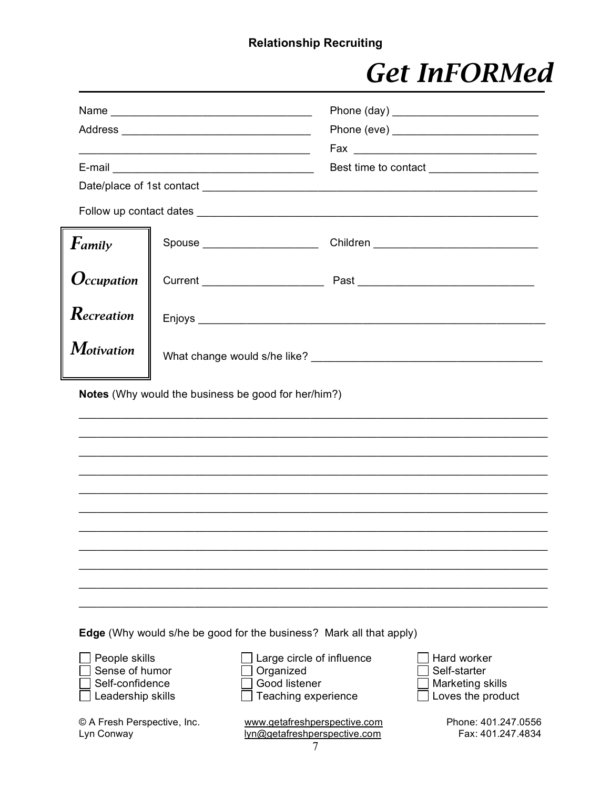# **Get InFORMed**

|                                                                         |  |                                                                                | Best time to contact _____________________                           |  |
|-------------------------------------------------------------------------|--|--------------------------------------------------------------------------------|----------------------------------------------------------------------|--|
|                                                                         |  |                                                                                |                                                                      |  |
|                                                                         |  |                                                                                |                                                                      |  |
| Family                                                                  |  |                                                                                |                                                                      |  |
| $O$ ccupation                                                           |  |                                                                                |                                                                      |  |
| Recreation                                                              |  |                                                                                |                                                                      |  |
| <b>Motivation</b>                                                       |  |                                                                                |                                                                      |  |
|                                                                         |  |                                                                                |                                                                      |  |
|                                                                         |  |                                                                                |                                                                      |  |
|                                                                         |  | <b>Edge</b> (Why would s/he be good for the business? Mark all that apply)     |                                                                      |  |
| People skills<br>Sense of humor<br>Self-confidence<br>Leadership skills |  | Large circle of influence<br>Organized<br>Good listener<br>Teaching experience | Hard worker<br>Self-starter<br>Marketing skills<br>Loves the product |  |
| © A Fresh Perspective, Inc.<br>Lyn Conway                               |  | www.getafreshperspective.com<br>lyn@getafreshperspective.com                   | Phone: 401.247.0556<br>Fax: 401.247.4834                             |  |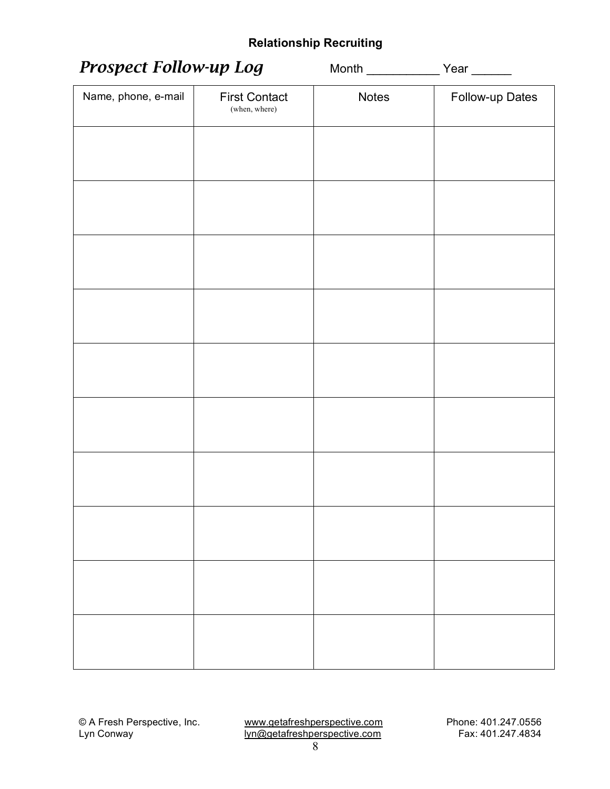| <b>Prospect Follow-up Log</b> |                                       |              |                 |  |
|-------------------------------|---------------------------------------|--------------|-----------------|--|
| Name, phone, e-mail           | <b>First Contact</b><br>(when, where) | <b>Notes</b> | Follow-up Dates |  |
|                               |                                       |              |                 |  |
|                               |                                       |              |                 |  |
|                               |                                       |              |                 |  |
|                               |                                       |              |                 |  |
|                               |                                       |              |                 |  |
|                               |                                       |              |                 |  |
|                               |                                       |              |                 |  |
|                               |                                       |              |                 |  |
|                               |                                       |              |                 |  |
|                               |                                       |              |                 |  |
|                               |                                       |              |                 |  |
|                               |                                       |              |                 |  |
|                               |                                       |              |                 |  |